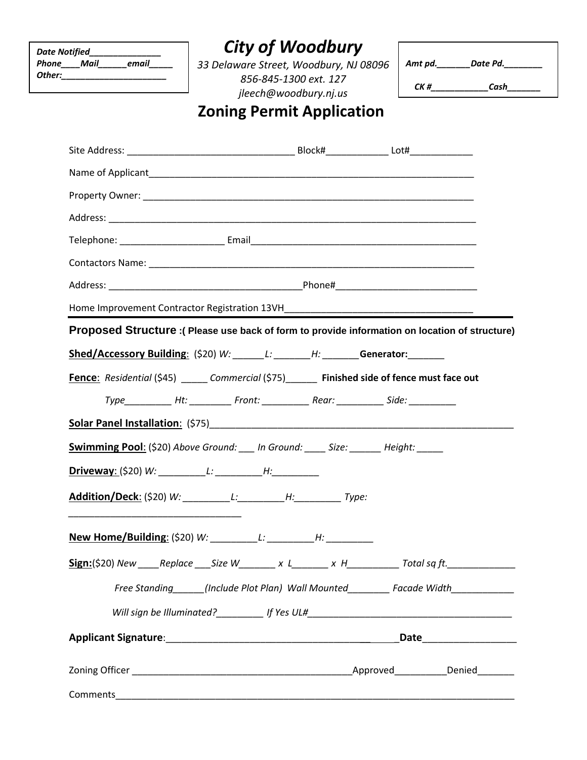| <b>Date Notified</b> |  |       |  |  |
|----------------------|--|-------|--|--|
| <b>Phone</b> Mail    |  | email |  |  |
| Other:               |  |       |  |  |

## *City of Woodbury*

*33 Delaware Street, Woodbury, NJ 08096 856-845-1300 ext. 127 jleech@woodbury.nj.us*

| Amt pd. | Date Pd. |
|---------|----------|
| CK #    | Cash     |

## **Zoning Permit Application**

| Home Improvement Contractor Registration 13VH___________________________________                       |  |  |                                                             |  |  |
|--------------------------------------------------------------------------------------------------------|--|--|-------------------------------------------------------------|--|--|
| Proposed Structure : (Please use back of form to provide information on location of structure)         |  |  |                                                             |  |  |
| Shed/Accessory Building: (\$20) W: ______L: _______H: ______Generator: _______                         |  |  |                                                             |  |  |
| <b>Fence:</b> Residential (\$45) ______ Commercial (\$75) _______ Finished side of fence must face out |  |  |                                                             |  |  |
| Type____________Ht: ____________Front: _______________Rear: _______________Side: ____________          |  |  |                                                             |  |  |
|                                                                                                        |  |  |                                                             |  |  |
| Swimming Pool: (\$20) Above Ground: ___ In Ground: ____ Size: ______ Height: _____                     |  |  |                                                             |  |  |
|                                                                                                        |  |  |                                                             |  |  |
|                                                                                                        |  |  |                                                             |  |  |
|                                                                                                        |  |  |                                                             |  |  |
|                                                                                                        |  |  |                                                             |  |  |
| <b>Sign:</b> (\$20) New _____Replace ____Size W_________ x L________ x H______________Total sq ft.     |  |  |                                                             |  |  |
|                                                                                                        |  |  | Free Standing (Include Plot Plan) Wall Mounted Facade Width |  |  |
|                                                                                                        |  |  |                                                             |  |  |
|                                                                                                        |  |  |                                                             |  |  |
|                                                                                                        |  |  |                                                             |  |  |
| Comments                                                                                               |  |  |                                                             |  |  |